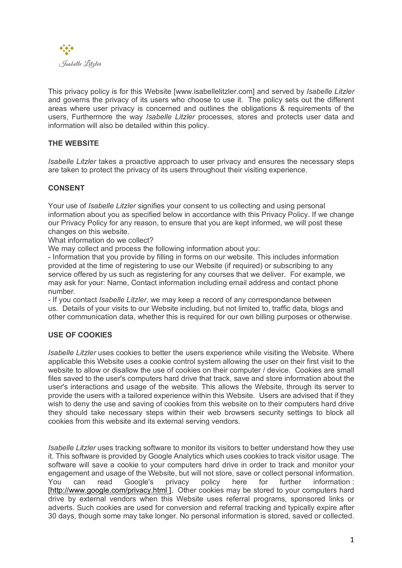

This privacy policy is for this Website [www.isabellelitzler.com] and served by *Isabelle Litzler* and governs the privacy of its users who choose to use it. The policy sets out the different areas where user privacy is concerned and outlines the obligations & requirements of the users, Furthermore the way *Isabelle Litzler* processes, stores and protects user data and information will also be detailed within this policy.

# **THE WEBSITE**

*Isabelle Litzler* takes a proactive approach to user privacy and ensures the necessary steps are taken to protect the privacy of its users throughout their visiting experience.

### **CONSENT**

Your use of *Isabelle Litzler* signifies your consent to us collecting and using personal information about you as specified below in accordance with this Privacy Policy. If we change our Privacy Policy for any reason, to ensure that you are kept informed, we will post these changes on this website.

What information do we collect?

We may collect and process the following information about you:

- Information that you provide by filling in forms on our website. This includes information provided at the time of registering to use our Website (if required) or subscribing to any service offered by us such as registering for any courses that we deliver. For example, we may ask for your: Name, Contact information including email address and contact phone number.

- If you contact *Isabelle Litzler*, we may keep a record of any correspondance between us. Details of your visits to our Website including, but not limited to, traffic data, blogs and other communication data, whether this is required for our own billing purposes or otherwise.

### **USE OF COOKIES**

*Isabelle Litzler* uses cookies to better the users experience while visiting the Website. Where applicable this Website uses a cookie control system allowing the user on their first visit to the website to allow or disallow the use of cookies on their computer / device. Cookies are small files saved to the user's computers hard drive that track, save and store information about the user's interactions and usage of the website. This allows the Website, through its server to provide the users with a tailored experience within this Website. Users are advised that if they wish to deny the use and saving of cookies from this website on to their computers hard drive they should take necessary steps within their web browsers security settings to block all cookies from this website and its external serving vendors.

*Isabelle Litzler* uses tracking software to monitor its visitors to better understand how they use it. This software is provided by Google Analytics which uses cookies to track visitor usage. The software will save a cookie to your computers hard drive in order to track and monitor your engagement and usage of the Website, but will not store, save or collect personal information. You can read Google's privacy policy here for further information : [http://www.google.com/privacy.html ]. Other cookies may be stored to your computers hard drive by external vendors when this Website uses referral programs, sponsored links or adverts. Such cookies are used for conversion and referral tracking and typically expire after 30 days, though some may take longer. No personal information is stored, saved or collected.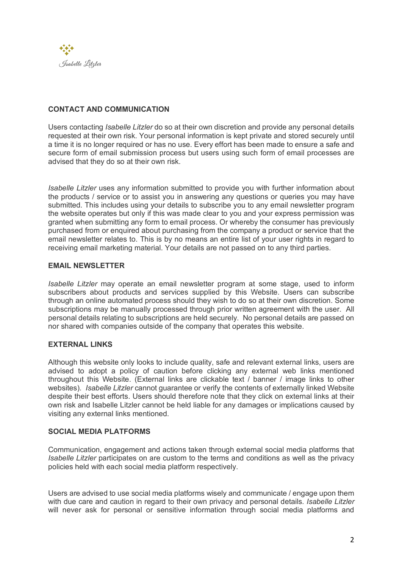

## **CONTACT AND COMMUNICATION**

Users contacting *Isabelle Litzler* do so at their own discretion and provide any personal details requested at their own risk. Your personal information is kept private and stored securely until a time it is no longer required or has no use. Every effort has been made to ensure a safe and secure form of email submission process but users using such form of email processes are advised that they do so at their own risk.

*Isabelle Litzler* uses any information submitted to provide you with further information about the products / service or to assist you in answering any questions or queries you may have submitted. This includes using your details to subscribe you to any email newsletter program the website operates but only if this was made clear to you and your express permission was granted when submitting any form to email process. Or whereby the consumer has previously purchased from or enquired about purchasing from the company a product or service that the email newsletter relates to. This is by no means an entire list of your user rights in regard to receiving email marketing material. Your details are not passed on to any third parties.

### **EMAIL NEWSLETTER**

*Isabelle Litzler* may operate an email newsletter program at some stage, used to inform subscribers about products and services supplied by this Website. Users can subscribe through an online automated process should they wish to do so at their own discretion. Some subscriptions may be manually processed through prior written agreement with the user. All personal details relating to subscriptions are held securely. No personal details are passed on nor shared with companies outside of the company that operates this website.

### **EXTERNAL LINKS**

Although this website only looks to include quality, safe and relevant external links, users are advised to adopt a policy of caution before clicking any external web links mentioned throughout this Website. (External links are clickable text / banner / image links to other websites). *Isabelle Litzler* cannot guarantee or verify the contents of externally linked Website despite their best efforts. Users should therefore note that they click on external links at their own risk and Isabelle Litzler cannot be held liable for any damages or implications caused by visiting any external links mentioned.

### **SOCIAL MEDIA PLATFORMS**

Communication, engagement and actions taken through external social media platforms that *Isabelle Litzler* participates on are custom to the terms and conditions as well as the privacy policies held with each social media platform respectively.

Users are advised to use social media platforms wisely and communicate / engage upon them with due care and caution in regard to their own privacy and personal details*. Isabelle Litzler* will never ask for personal or sensitive information through social media platforms and